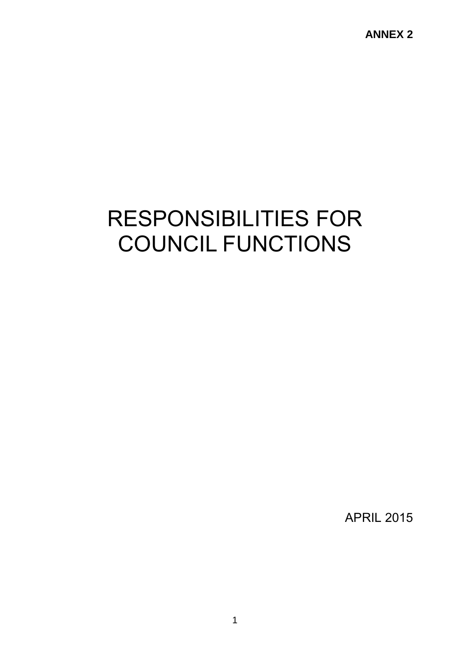**ANNEX 2**

# RESPONSIBILITIES FOR COUNCIL FUNCTIONS

APRIL 2015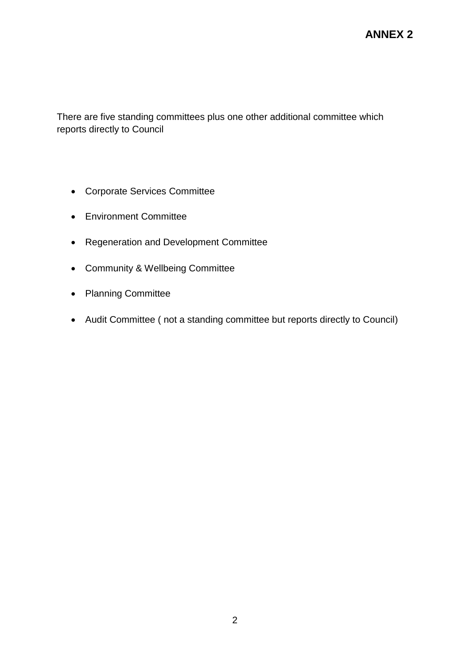There are five standing committees plus one other additional committee which reports directly to Council

- Corporate Services Committee
- Environment Committee
- Regeneration and Development Committee
- Community & Wellbeing Committee
- Planning Committee
- Audit Committee ( not a standing committee but reports directly to Council)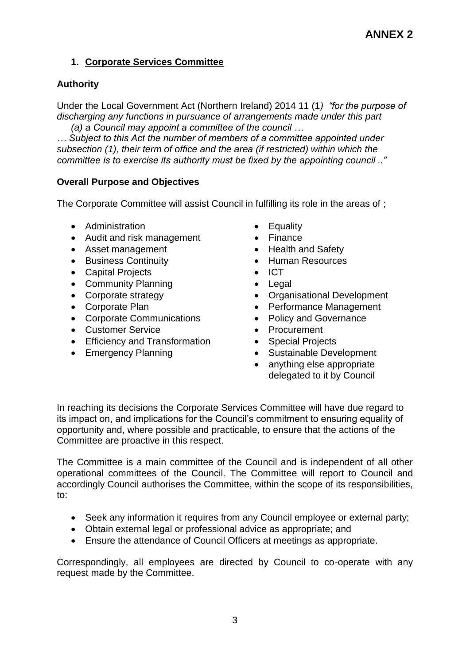# **1. Corporate Services Committee**

## **Authority**

Under the Local Government Act (Northern Ireland) 2014 11 (1*) "for the purpose of discharging any functions in pursuance of arrangements made under this part (a) a Council may appoint a committee of the council …*

*… Subject to this Act the number of members of a committee appointed under subsection (1), their term of office and the area (if restricted) within which the committee is to exercise its authority must be fixed by the appointing council .."*

## **Overall Purpose and Objectives**

The Corporate Committee will assist Council in fulfilling its role in the areas of ;

- Administration  **Equality**
- Audit and risk management Finance
- Asset management **•** Health and Safety
- Business Continuity **Continuity Continuity Continuity Continuity**
- Capital Projects ICT
- Community Planning **Community Planning Community** Planning
- 
- 
- Corporate Communications Policy and Governance
- Customer Service **Customer Service Procurement**
- Efficiency and Transformation Special Projects
- 
- 
- 
- 
- 
- 
- 
- Corporate strategy **COLLECT COLLECT COLLECT COLLECT COLLECT COLLECT COLLECT COLLECT COLLECT COLLECT COLLECT COLLECT COLLECT COLLECT COLLECT COLLECT COLLECT COLLECT COLLECT COLLECT**
- Corporate Plan **Corporate Plan Performance Management** 
	-
	-
	-
- Emergency Planning **Calculary Contract Contract Contract Contract Contract Contract Contract Contract Contract Contract Contract Contract Contract Contract Contract Contract Contract Contract Contract Contract Contract C** 
	- anything else appropriate delegated to it by Council

In reaching its decisions the Corporate Services Committee will have due regard to its impact on, and implications for the Council's commitment to ensuring equality of opportunity and, where possible and practicable, to ensure that the actions of the Committee are proactive in this respect.

The Committee is a main committee of the Council and is independent of all other operational committees of the Council. The Committee will report to Council and accordingly Council authorises the Committee, within the scope of its responsibilities, to:

- Seek any information it requires from any Council employee or external party;
- Obtain external legal or professional advice as appropriate; and
- Ensure the attendance of Council Officers at meetings as appropriate.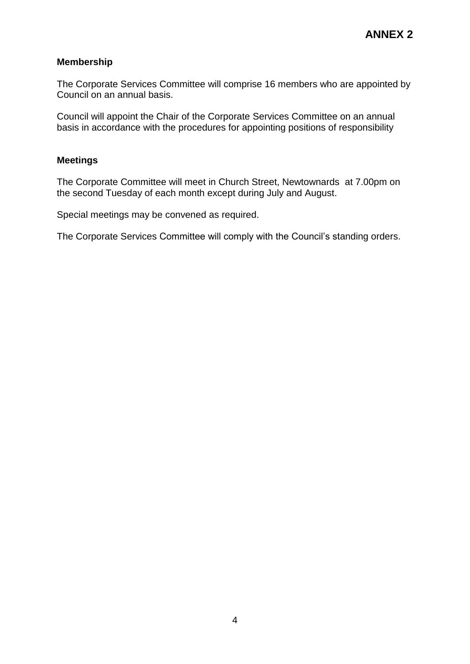The Corporate Services Committee will comprise 16 members who are appointed by Council on an annual basis.

Council will appoint the Chair of the Corporate Services Committee on an annual basis in accordance with the procedures for appointing positions of responsibility

#### **Meetings**

The Corporate Committee will meet in Church Street, Newtownards at 7.00pm on the second Tuesday of each month except during July and August.

Special meetings may be convened as required.

The Corporate Services Committee will comply with the Council's standing orders.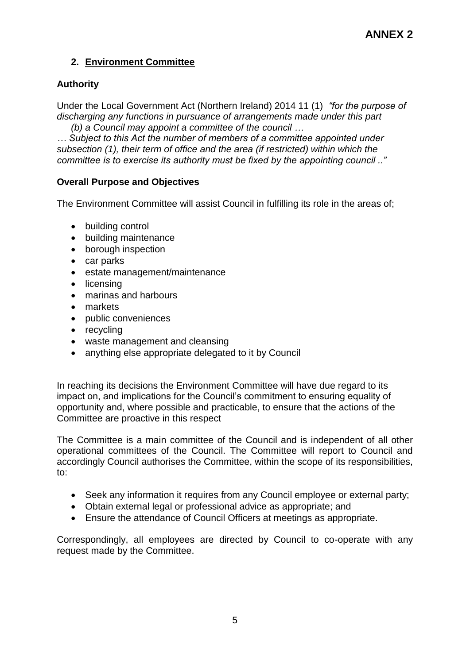# **2. Environment Committee**

# **Authority**

Under the Local Government Act (Northern Ireland) 2014 11 (1) *"for the purpose of discharging any functions in pursuance of arrangements made under this part (b) a Council may appoint a committee of the council …*

*… Subject to this Act the number of members of a committee appointed under subsection (1), their term of office and the area (if restricted) within which the committee is to exercise its authority must be fixed by the appointing council .."*

# **Overall Purpose and Objectives**

The Environment Committee will assist Council in fulfilling its role in the areas of;

- building control
- building maintenance
- borough inspection
- car parks
- estate management/maintenance
- licensing
- marinas and harbours
- markets
- public conveniences
- recycling
- waste management and cleansing
- anything else appropriate delegated to it by Council

In reaching its decisions the Environment Committee will have due regard to its impact on, and implications for the Council's commitment to ensuring equality of opportunity and, where possible and practicable, to ensure that the actions of the Committee are proactive in this respect

The Committee is a main committee of the Council and is independent of all other operational committees of the Council. The Committee will report to Council and accordingly Council authorises the Committee, within the scope of its responsibilities, to:

- Seek any information it requires from any Council employee or external party;
- Obtain external legal or professional advice as appropriate; and
- Ensure the attendance of Council Officers at meetings as appropriate.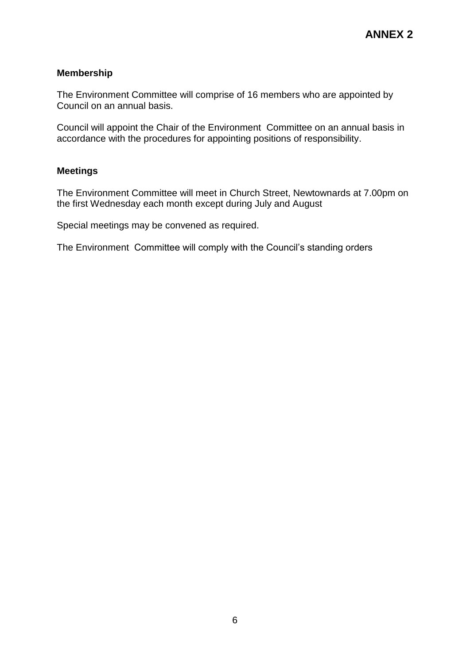The Environment Committee will comprise of 16 members who are appointed by Council on an annual basis.

Council will appoint the Chair of the Environment Committee on an annual basis in accordance with the procedures for appointing positions of responsibility.

#### **Meetings**

The Environment Committee will meet in Church Street, Newtownards at 7.00pm on the first Wednesday each month except during July and August

Special meetings may be convened as required.

The Environment Committee will comply with the Council's standing orders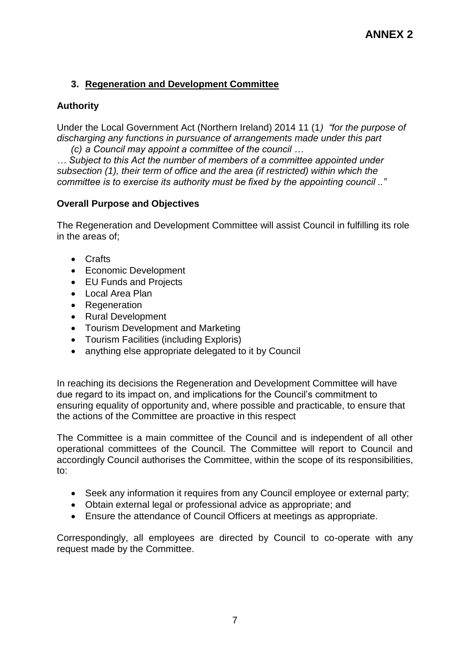# **3. Regeneration and Development Committee**

# **Authority**

Under the Local Government Act (Northern Ireland) 2014 11 (1*) "for the purpose of discharging any functions in pursuance of arrangements made under this part (c) a Council may appoint a committee of the council …*

*… Subject to this Act the number of members of a committee appointed under subsection (1), their term of office and the area (if restricted) within which the committee is to exercise its authority must be fixed by the appointing council .."*

# **Overall Purpose and Objectives**

The Regeneration and Development Committee will assist Council in fulfilling its role in the areas of;

- Crafts
- Economic Development
- EU Funds and Projects
- Local Area Plan
- Regeneration
- Rural Development
- Tourism Development and Marketing
- Tourism Facilities (including Exploris)
- anything else appropriate delegated to it by Council

In reaching its decisions the Regeneration and Development Committee will have due regard to its impact on, and implications for the Council's commitment to ensuring equality of opportunity and, where possible and practicable, to ensure that the actions of the Committee are proactive in this respect

The Committee is a main committee of the Council and is independent of all other operational committees of the Council. The Committee will report to Council and accordingly Council authorises the Committee, within the scope of its responsibilities, to:

- Seek any information it requires from any Council employee or external party;
- Obtain external legal or professional advice as appropriate; and
- Ensure the attendance of Council Officers at meetings as appropriate.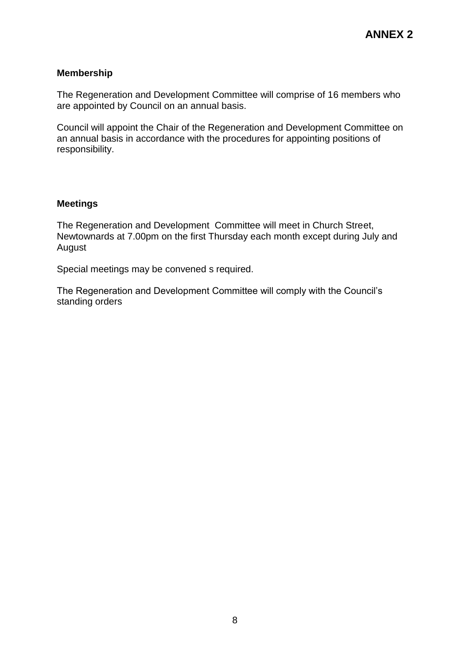The Regeneration and Development Committee will comprise of 16 members who are appointed by Council on an annual basis.

Council will appoint the Chair of the Regeneration and Development Committee on an annual basis in accordance with the procedures for appointing positions of responsibility.

#### **Meetings**

The Regeneration and Development Committee will meet in Church Street, Newtownards at 7.00pm on the first Thursday each month except during July and August

Special meetings may be convened s required.

The Regeneration and Development Committee will comply with the Council's standing orders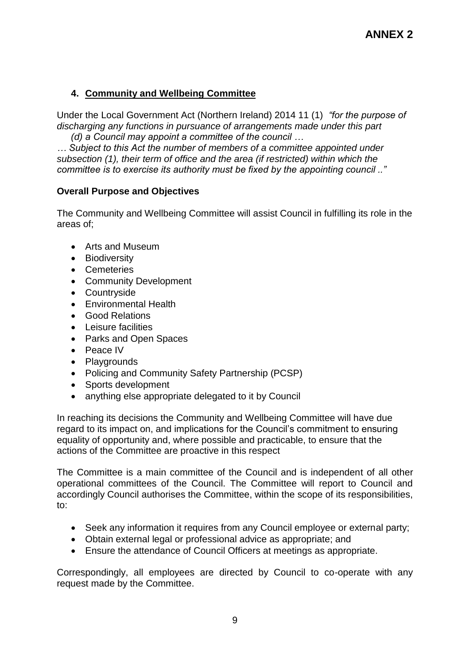# **4. Community and Wellbeing Committee**

Under the Local Government Act (Northern Ireland) 2014 11 (1) *"for the purpose of discharging any functions in pursuance of arrangements made under this part (d) a Council may appoint a committee of the council …*

*… Subject to this Act the number of members of a committee appointed under subsection (1), their term of office and the area (if restricted) within which the committee is to exercise its authority must be fixed by the appointing council .."*

# **Overall Purpose and Objectives**

The Community and Wellbeing Committee will assist Council in fulfilling its role in the areas of;

- Arts and Museum
- Biodiversity
- Cemeteries
- Community Development
- Countryside
- Environmental Health
- Good Relations
- Leisure facilities
- Parks and Open Spaces
- Peace IV
- Playgrounds
- Policing and Community Safety Partnership (PCSP)
- Sports development
- anything else appropriate delegated to it by Council

In reaching its decisions the Community and Wellbeing Committee will have due regard to its impact on, and implications for the Council's commitment to ensuring equality of opportunity and, where possible and practicable, to ensure that the actions of the Committee are proactive in this respect

The Committee is a main committee of the Council and is independent of all other operational committees of the Council. The Committee will report to Council and accordingly Council authorises the Committee, within the scope of its responsibilities, to:

- Seek any information it requires from any Council employee or external party;
- Obtain external legal or professional advice as appropriate; and
- Ensure the attendance of Council Officers at meetings as appropriate.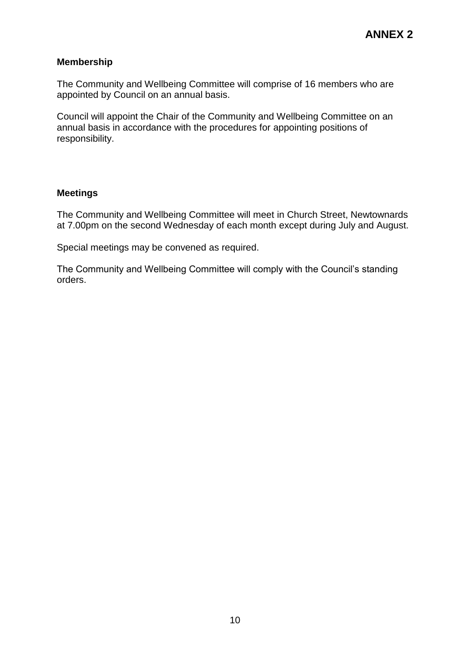The Community and Wellbeing Committee will comprise of 16 members who are appointed by Council on an annual basis.

Council will appoint the Chair of the Community and Wellbeing Committee on an annual basis in accordance with the procedures for appointing positions of responsibility.

#### **Meetings**

The Community and Wellbeing Committee will meet in Church Street, Newtownards at 7.00pm on the second Wednesday of each month except during July and August.

Special meetings may be convened as required.

The Community and Wellbeing Committee will comply with the Council's standing orders.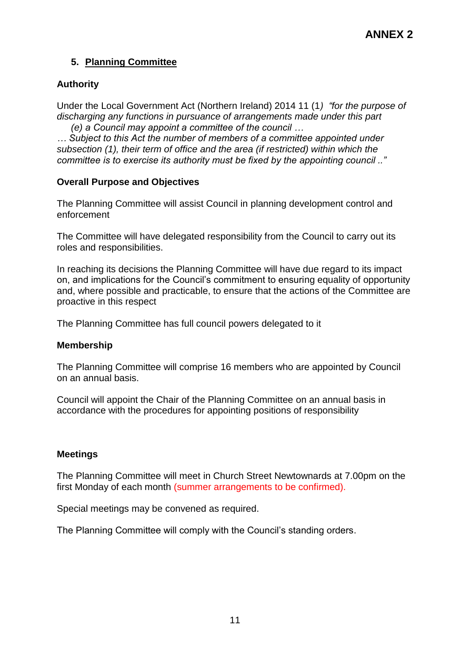# **5. Planning Committee**

## **Authority**

Under the Local Government Act (Northern Ireland) 2014 11 (1*) "for the purpose of discharging any functions in pursuance of arrangements made under this part (e) a Council may appoint a committee of the council …*

*… Subject to this Act the number of members of a committee appointed under subsection (1), their term of office and the area (if restricted) within which the committee is to exercise its authority must be fixed by the appointing council .."*

## **Overall Purpose and Objectives**

The Planning Committee will assist Council in planning development control and enforcement

The Committee will have delegated responsibility from the Council to carry out its roles and responsibilities.

In reaching its decisions the Planning Committee will have due regard to its impact on, and implications for the Council's commitment to ensuring equality of opportunity and, where possible and practicable, to ensure that the actions of the Committee are proactive in this respect

The Planning Committee has full council powers delegated to it

#### **Membership**

The Planning Committee will comprise 16 members who are appointed by Council on an annual basis.

Council will appoint the Chair of the Planning Committee on an annual basis in accordance with the procedures for appointing positions of responsibility

#### **Meetings**

The Planning Committee will meet in Church Street Newtownards at 7.00pm on the first Monday of each month (summer arrangements to be confirmed).

Special meetings may be convened as required.

The Planning Committee will comply with the Council's standing orders.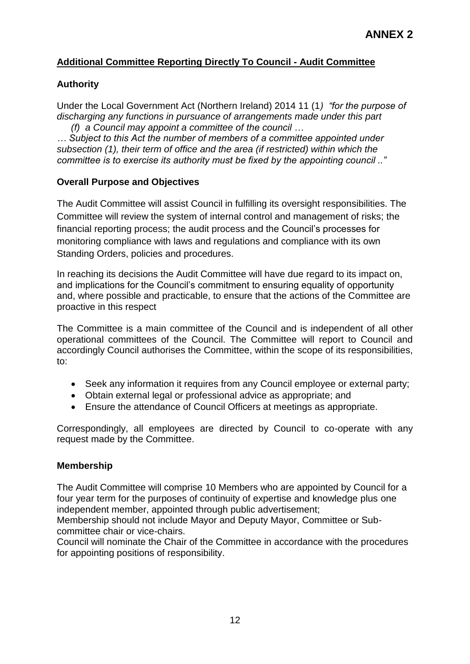# **Additional Committee Reporting Directly To Council - Audit Committee**

## **Authority**

Under the Local Government Act (Northern Ireland) 2014 11 (1*) "for the purpose of discharging any functions in pursuance of arrangements made under this part (f) a Council may appoint a committee of the council …*

*… Subject to this Act the number of members of a committee appointed under subsection (1), their term of office and the area (if restricted) within which the committee is to exercise its authority must be fixed by the appointing council .."*

## **Overall Purpose and Objectives**

The Audit Committee will assist Council in fulfilling its oversight responsibilities. The Committee will review the system of internal control and management of risks; the financial reporting process; the audit process and the Council's processes for monitoring compliance with laws and regulations and compliance with its own Standing Orders, policies and procedures.

In reaching its decisions the Audit Committee will have due regard to its impact on, and implications for the Council's commitment to ensuring equality of opportunity and, where possible and practicable, to ensure that the actions of the Committee are proactive in this respect

The Committee is a main committee of the Council and is independent of all other operational committees of the Council. The Committee will report to Council and accordingly Council authorises the Committee, within the scope of its responsibilities, to:

- Seek any information it requires from any Council employee or external party;
- Obtain external legal or professional advice as appropriate; and
- Ensure the attendance of Council Officers at meetings as appropriate.

Correspondingly, all employees are directed by Council to co-operate with any request made by the Committee.

#### **Membership**

The Audit Committee will comprise 10 Members who are appointed by Council for a four year term for the purposes of continuity of expertise and knowledge plus one independent member, appointed through public advertisement;

Membership should not include Mayor and Deputy Mayor, Committee or Subcommittee chair or vice-chairs.

Council will nominate the Chair of the Committee in accordance with the procedures for appointing positions of responsibility.